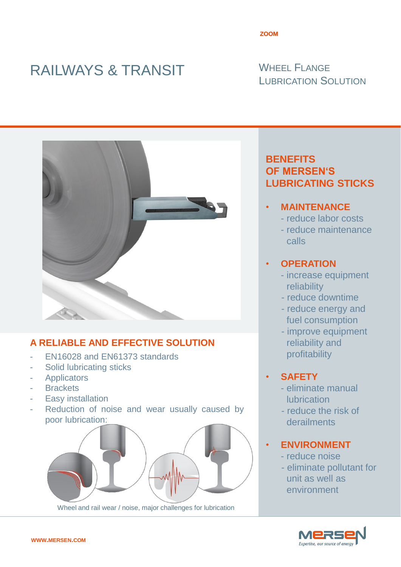# RAILWAYS & TRANSIT WHEEL FLANGE

# LUBRICATION SOLUTION



# **A RELIABLE AND EFFECTIVE SOLUTION**

- EN16028 and EN61373 standards
- Solid lubricating sticks
- **Applicators**
- Brackets
- Easy installation
- Reduction of noise and wear usually caused by poor lubrication:



Wheel and rail wear / noise, major challenges for lubrication

# **BENEFITS OF MERSEN'S LUBRICATING STICKS**

- **MAINTENANCE**
	- reduce labor costs
	- reduce maintenance calls

## • **OPERATION**

- increase equipment reliability
- reduce downtime
- reduce energy and fuel consumption
- improve equipment reliability and profitability

# • **SAFETY**

- eliminate manual **lubrication**
- reduce the risk of derailments

## • **ENVIRONMENT**

- reduce noise
- eliminate pollutant for unit as well as environment